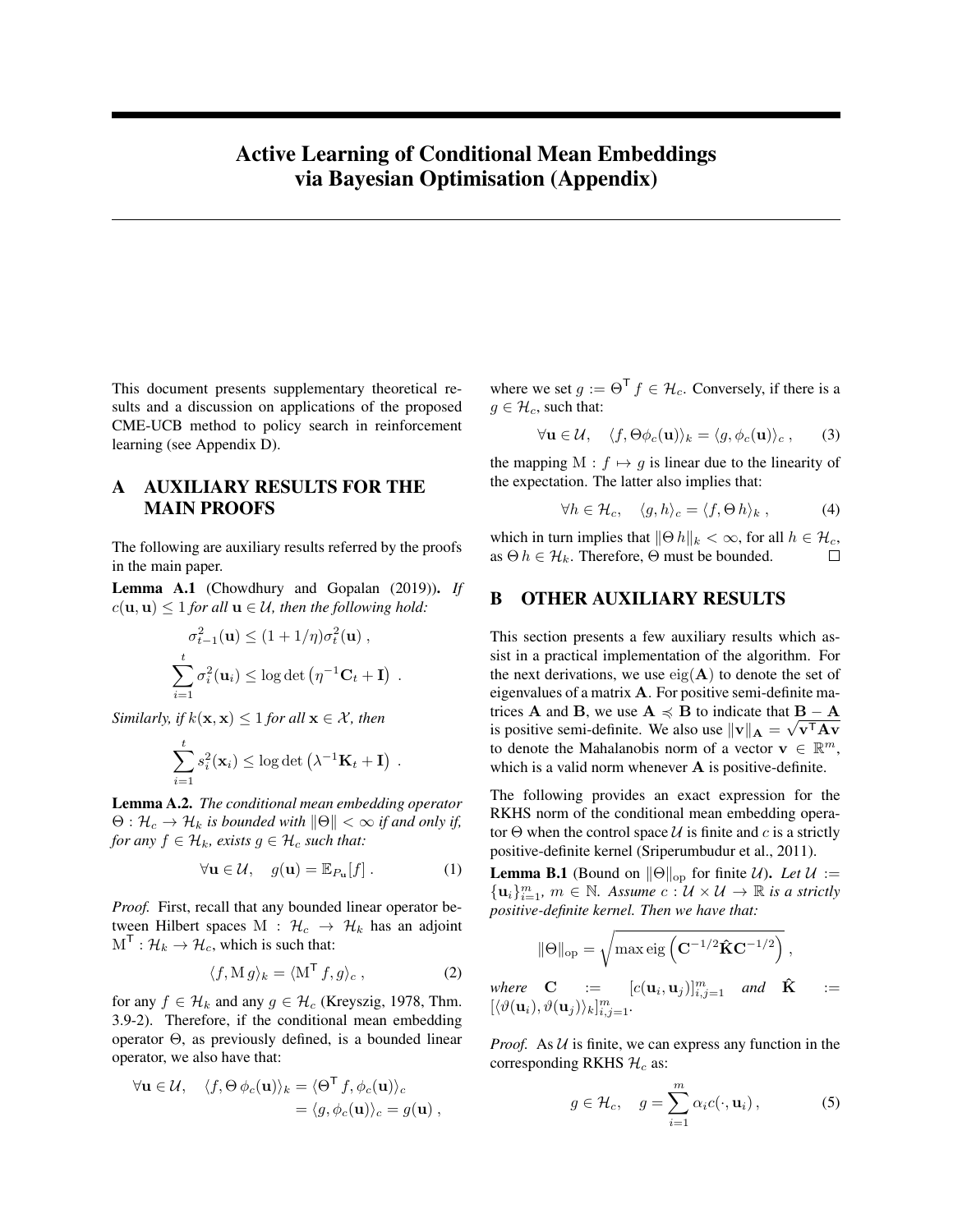# Active Learning of Conditional Mean Embeddings via Bayesian Optimisation (Appendix)

This document presents supplementary theoretical results and a discussion on applications of the proposed CME-UCB method to policy search in reinforcement learning (see [Appendix D\)](#page-3-0).

### A AUXILIARY RESULTS FOR THE MAIN PROOFS

The following are auxiliary results referred by the proofs in the main paper.

<span id="page-0-2"></span>Lemma A.1 [\(Chowdhury and Gopalan](#page-3-1) [\(2019\)](#page-3-1)). *If*  $c(\mathbf{u}, \mathbf{u}) \leq 1$  *for all*  $\mathbf{u} \in \mathcal{U}$ *, then the following hold:* 

$$
\sigma_{t-1}^2(\mathbf{u}) \le (1 + 1/\eta)\sigma_t^2(\mathbf{u}),
$$
  

$$
\sum_{i=1}^t \sigma_i^2(\mathbf{u}_i) \le \log \det \left(\eta^{-1}\mathbf{C}_t + \mathbf{I}\right).
$$

*Similarly, if*  $k(x, x) \leq 1$  *for all*  $x \in \mathcal{X}$ *, then* 

$$
\sum_{i=1}^t s_i^2(\mathbf{x}_i) \le \log \det \left(\lambda^{-1} \mathbf{K}_t + \mathbf{I}\right) .
$$

Lemma A.2. *The conditional mean embedding operator*  $\Theta: \mathcal{H}_c \to \mathcal{H}_k$  *is bounded with*  $\|\Theta\| < \infty$  *if and only if, for any*  $f \in \mathcal{H}_k$ *, exists*  $g \in \mathcal{H}_c$  *such that:* 

$$
\forall \mathbf{u} \in \mathcal{U}, \quad g(\mathbf{u}) = \mathbb{E}_{P_{\mathbf{u}}}[f]. \tag{1}
$$

*Proof.* First, recall that any bounded linear operator between Hilbert spaces M :  $\mathcal{H}_c \rightarrow \mathcal{H}_k$  has an adjoint  $M^{\mathsf{T}}: \mathcal{H}_k \to \mathcal{H}_c$ , which is such that:

$$
\langle f, \mathbf{M} g \rangle_k = \langle \mathbf{M}^\mathsf{T} f, g \rangle_c \,, \tag{2}
$$

for any  $f \in \mathcal{H}_k$  and any  $g \in \mathcal{H}_c$  [\(Kreyszig, 1978,](#page-3-2) Thm. 3.9-2). Therefore, if the conditional mean embedding operator Θ, as previously defined, is a bounded linear operator, we also have that:

$$
\forall \mathbf{u} \in \mathcal{U}, \quad \langle f, \Theta \phi_c(\mathbf{u}) \rangle_k = \langle \Theta^{\mathsf{T}} f, \phi_c(\mathbf{u}) \rangle_c = \langle g, \phi_c(\mathbf{u}) \rangle_c = g(\mathbf{u}),
$$

where we set  $g := \Theta^{\mathsf{T}} f \in \mathcal{H}_c$ . Conversely, if there is a  $g \in \mathcal{H}_c$ , such that:

$$
\forall \mathbf{u} \in \mathcal{U}, \quad \langle f, \Theta \phi_c(\mathbf{u}) \rangle_k = \langle g, \phi_c(\mathbf{u}) \rangle_c , \qquad (3)
$$

the mapping M :  $f \mapsto g$  is linear due to the linearity of the expectation. The latter also implies that:

$$
\forall h \in \mathcal{H}_c, \quad \langle g, h \rangle_c = \langle f, \Theta \, h \rangle_k \,, \tag{4}
$$

which in turn implies that  $\|\Theta h\|_k < \infty$ , for all  $h \in \mathcal{H}_c$ , as  $\Theta$  h  $\in$   $\mathcal{H}_k$ . Therefore,  $\Theta$  must be bounded.  $\Box$ 

#### B OTHER AUXILIARY RESULTS

This section presents a few auxiliary results which assist in a practical implementation of the algorithm. For the next derivations, we use  $eig(A)$  to denote the set of eigenvalues of a matrix A. For positive semi-definite matrices **A** and **B**, we use  $\mathbf{A} \preccurlyeq \mathbf{B}$  to indicate that  $\mathbf{B} - \mathbf{A}$ is positive semi-definite. We also use  $\|\mathbf{v}\|_{\mathbf{A}} = \sqrt{\mathbf{v}^{\mathsf{T}}\mathbf{A}\mathbf{v}}$ to denote the Mahalanobis norm of a vector  $\mathbf{v} \in \mathbb{R}^m$ , which is a valid norm whenever **A** is positive-definite.

The following provides an exact expression for the RKHS norm of the conditional mean embedding operator  $\Theta$  when the control space U is finite and c is a strictly positive-definite kernel [\(Sriperumbudur et al., 2011\)](#page-3-3).

<span id="page-0-1"></span>**Lemma B.1** (Bound on  $\|\Theta\|_{\text{op}}$  for finite U). Let  $\mathcal{U} :=$  ${u_i}_{i=1}^m$ ,  $m \in \mathbb{N}$ . Assume  $c : \mathcal{U} \times \mathcal{U} \rightarrow \mathbb{R}$  is a strictly *positive-definite kernel. Then we have that:*

$$
\|\Theta\|_{\mathrm{op}} = \sqrt{\max \mathrm{eig}\left(\mathbf{C}^{-1/2}\mathbf{\hat{K}}\mathbf{C}^{-1/2}\right)}\,,
$$

where  $C$  :=  $[c(\mathbf{u}_i, \mathbf{u}_j)]_{i,j=1}^m$  and  $\hat{\mathbf{K}}$  :=  $[\langle \vartheta(\mathbf{u}_i), \vartheta(\mathbf{u}_j) \rangle_k]_{i,j=1}^m$ .

*Proof.* As  $U$  is finite, we can express any function in the corresponding RKHS  $\mathcal{H}_c$  as:

<span id="page-0-0"></span>
$$
g \in \mathcal{H}_c, \quad g = \sum_{i=1}^m \alpha_i c(\cdot, \mathbf{u}_i), \tag{5}
$$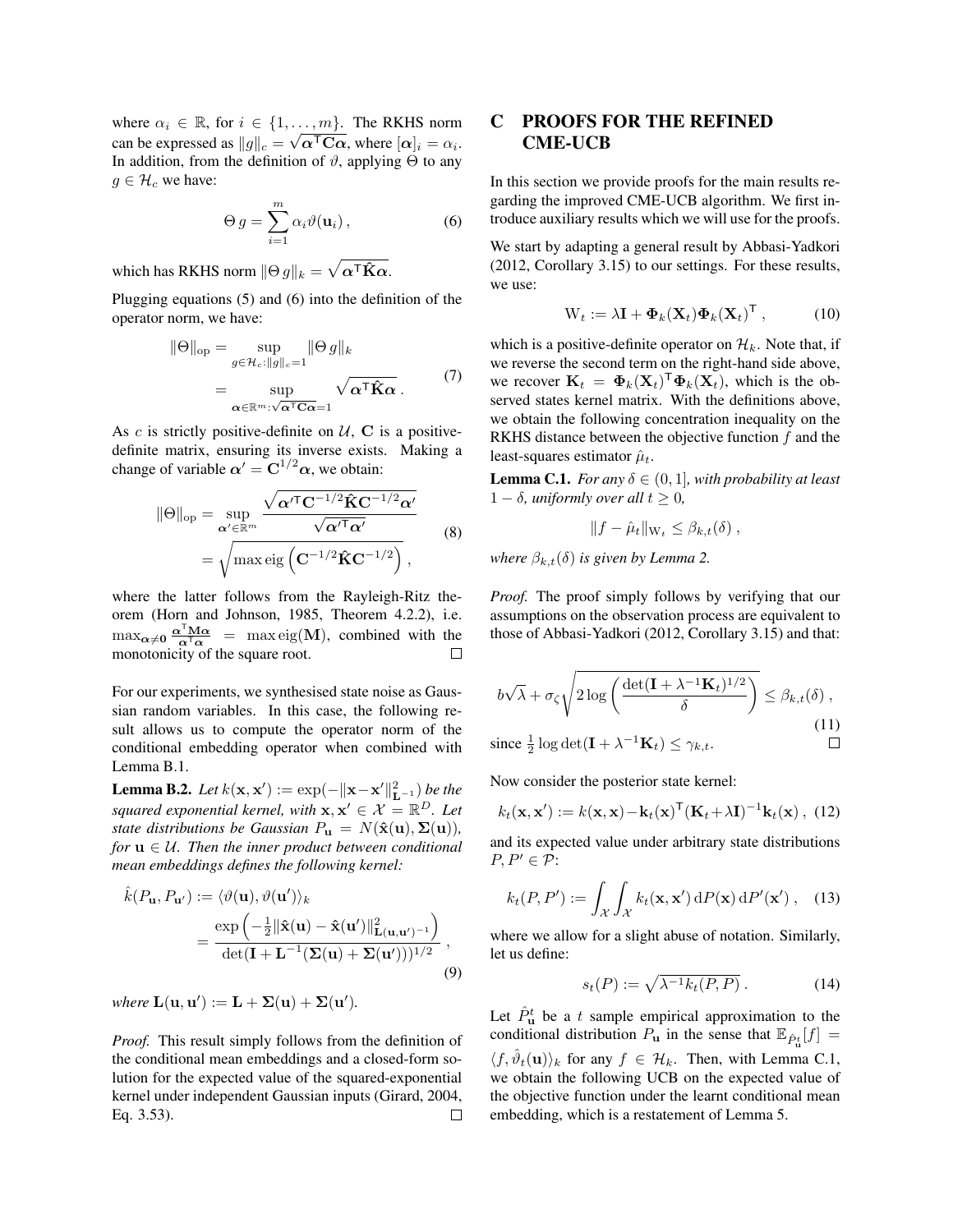where  $\alpha_i \in \mathbb{R}$ , for  $i \in \{1, \ldots, m\}$ . The RKHS norm can be expressed as  $\|g\|_c = \sqrt{\alpha^{\mathsf{T}}}\mathbf{C}\alpha$ , where  $[\alpha]_i = \alpha_i$ . In addition, from the definition of  $\vartheta$ , applying  $\Theta$  to any  $g \in \mathcal{H}_c$  we have:

<span id="page-1-0"></span>
$$
\Theta g = \sum_{i=1}^{m} \alpha_i \vartheta(\mathbf{u}_i), \qquad (6)
$$

which has RKHS norm  $\|\Theta\,g\|_k = \sqrt{\boldsymbol{\alpha}^\textsf{T} \hat{\mathbf{K}} \boldsymbol{\alpha}}.$ 

Plugging equations [\(5\)](#page-0-0) and [\(6\)](#page-1-0) into the definition of the operator norm, we have:

$$
\|\Theta\|_{\text{op}} = \sup_{g \in \mathcal{H}_c: \|g\|_c = 1} \|\Theta g\|_k
$$
  
= 
$$
\sup_{\mathbf{\alpha} \in \mathbb{R}^m: \sqrt{\mathbf{\alpha}^T \mathbf{C} \mathbf{\alpha}} = 1} \sqrt{\mathbf{\alpha}^T \hat{\mathbf{K}} \mathbf{\alpha}}.
$$
 (7)

As  $c$  is strictly positive-definite on  $U$ , C is a positivedefinite matrix, ensuring its inverse exists. Making a change of variable  $\alpha' = C^{1/2} \alpha$ , we obtain:

$$
\|\Theta\|_{\text{op}} = \sup_{\alpha' \in \mathbb{R}^m} \frac{\sqrt{\alpha'^{\mathsf{T}} C^{-1/2} \hat{\mathbf{K}} C^{-1/2} \alpha'}}{\sqrt{\alpha'^{\mathsf{T}} \alpha'}}
$$
  
=  $\sqrt{\max \text{eig} \left( C^{-1/2} \hat{\mathbf{K}} C^{-1/2} \right)},$  (8)

where the latter follows from the Rayleigh-Ritz theorem [\(Horn and Johnson, 1985,](#page-3-4) Theorem 4.2.2), i.e.  $\max_{\alpha \neq 0} \frac{\alpha^{\mathsf{T}} M \alpha}{\alpha^{\mathsf{T}} \alpha} = \max_{\alpha \in \mathcal{C}} \text{eig}(\mathbf{M})$ , combined with the monotonicity of the square root.

For our experiments, we synthesised state noise as Gaussian random variables. In this case, the following result allows us to compute the operator norm of the conditional embedding operator when combined with [Lemma B.1.](#page-0-1)

**Lemma B.2.** *Let*  $k(\mathbf{x}, \mathbf{x}') := \exp(-\|\mathbf{x} - \mathbf{x}'\|_{\mathbf{L}^{-1}}^2)$  *be the squared exponential kernel, with*  $\mathbf{x}, \mathbf{x}' \in \mathcal{X} \stackrel{\sim}{=} \mathbb{R}^D$ . Let *state distributions be Gaussian*  $P_{\mathbf{u}} = N(\hat{\mathbf{x}}(\mathbf{u}), \Sigma(\mathbf{u})),$ *for*  $\mathbf{u} \in \mathcal{U}$ *. Then the inner product between conditional mean embeddings defines the following kernel:*

$$
\hat{k}(P_{\mathbf{u}}, P_{\mathbf{u}'}) := \langle \vartheta(\mathbf{u}), \vartheta(\mathbf{u}') \rangle_k \n= \frac{\exp \left( -\frac{1}{2} \|\hat{\mathbf{x}}(\mathbf{u}) - \hat{\mathbf{x}}(\mathbf{u}')\|_{\mathbf{L}(\mathbf{u}, \mathbf{u}')^{-1}}^2 \right)}{\det(\mathbf{I} + \mathbf{L}^{-1}(\mathbf{\Sigma}(\mathbf{u}) + \mathbf{\Sigma}(\mathbf{u}')))^{1/2}},
$$
\n(9)

*where*  $L(\mathbf{u}, \mathbf{u}') := L + \Sigma(\mathbf{u}) + \Sigma(\mathbf{u}').$ 

*Proof.* This result simply follows from the definition of the conditional mean embeddings and a closed-form solution for the expected value of the squared-exponential kernel under independent Gaussian inputs [\(Girard, 2004,](#page-3-5) Eq. 3.53).  $\Box$ 

### C PROOFS FOR THE REFINED CME-UCB

In this section we provide proofs for the main results regarding the improved CME-UCB algorithm. We first introduce auxiliary results which we will use for the proofs.

We start by adapting a general result by [Abbasi-Yadkori](#page-3-6) [\(2012,](#page-3-6) Corollary 3.15) to our settings. For these results, we use:

$$
\mathbf{W}_t := \lambda \mathbf{I} + \mathbf{\Phi}_k(\mathbf{X}_t) \mathbf{\Phi}_k(\mathbf{X}_t)^\mathsf{T}, \quad (10)
$$

which is a positive-definite operator on  $\mathcal{H}_k$ . Note that, if we reverse the second term on the right-hand side above, we recover  $\mathbf{K}_t = \mathbf{\Phi}_k(\mathbf{X}_t)^T \mathbf{\Phi}_k(\mathbf{X}_t)$ , which is the observed states kernel matrix. With the definitions above, we obtain the following concentration inequality on the RKHS distance between the objective function  $f$  and the least-squares estimator  $\hat{\mu}_t$ .

<span id="page-1-1"></span>**Lemma C.1.** *For any*  $\delta \in (0, 1]$ *, with probability at least*  $1 - \delta$ *, uniformly over all*  $t > 0$ *,* 

$$
||f - \hat{\mu}_t||_{\mathcal{W}_t} \leq \beta_{k,t}(\delta) ,
$$

*where*  $\beta_{k,t}(\delta)$  *is given by Lemma 2.* 

*Proof.* The proof simply follows by verifying that our assumptions on the observation process are equivalent to those of [Abbasi-Yadkori](#page-3-6) [\(2012,](#page-3-6) Corollary 3.15) and that:

$$
b\sqrt{\lambda} + \sigma_{\zeta} \sqrt{2\log\left(\frac{\det(\mathbf{I} + \lambda^{-1}\mathbf{K}_{t})^{1/2}}{\delta}\right)} \leq \beta_{k,t}(\delta),
$$
  
since  $\frac{1}{2}\log\det(\mathbf{I} + \lambda^{-1}\mathbf{K}_{t}) \leq \gamma_{k,t}.$ 

Now consider the posterior state kernel:

<span id="page-1-2"></span>
$$
k_t(\mathbf{x}, \mathbf{x}') := k(\mathbf{x}, \mathbf{x}) - \mathbf{k}_t(\mathbf{x})^\mathsf{T} (\mathbf{K}_t + \lambda \mathbf{I})^{-1} \mathbf{k}_t(\mathbf{x}), \tag{12}
$$

and its expected value under arbitrary state distributions  $P, P' \in \mathcal{P}$ :

<span id="page-1-3"></span>
$$
k_t(P, P') := \int_{\mathcal{X}} \int_{\mathcal{X}} k_t(\mathbf{x}, \mathbf{x}') \, dP(\mathbf{x}) \, dP'(\mathbf{x}'), \quad (13)
$$

where we allow for a slight abuse of notation. Similarly, let us define:

$$
s_t(P) := \sqrt{\lambda^{-1} k_t(P, P)} . \tag{14}
$$

Let  $\hat{P}_{\mathbf{u}}^{t}$  be a t sample empirical approximation to the conditional distribution  $P_{\mathbf{u}}$  in the sense that  $\mathbb{E}_{\hat{P}_{\mathbf{u}}^t}[f] =$  $\langle f, \hat{\vartheta}_t(\mathbf{u}) \rangle_k$  for any  $f \in \mathcal{H}_k$ . Then, with [Lemma C.1,](#page-1-1) we obtain the following UCB on the expected value of the objective function under the learnt conditional mean embedding, which is a restatement of Lemma 5.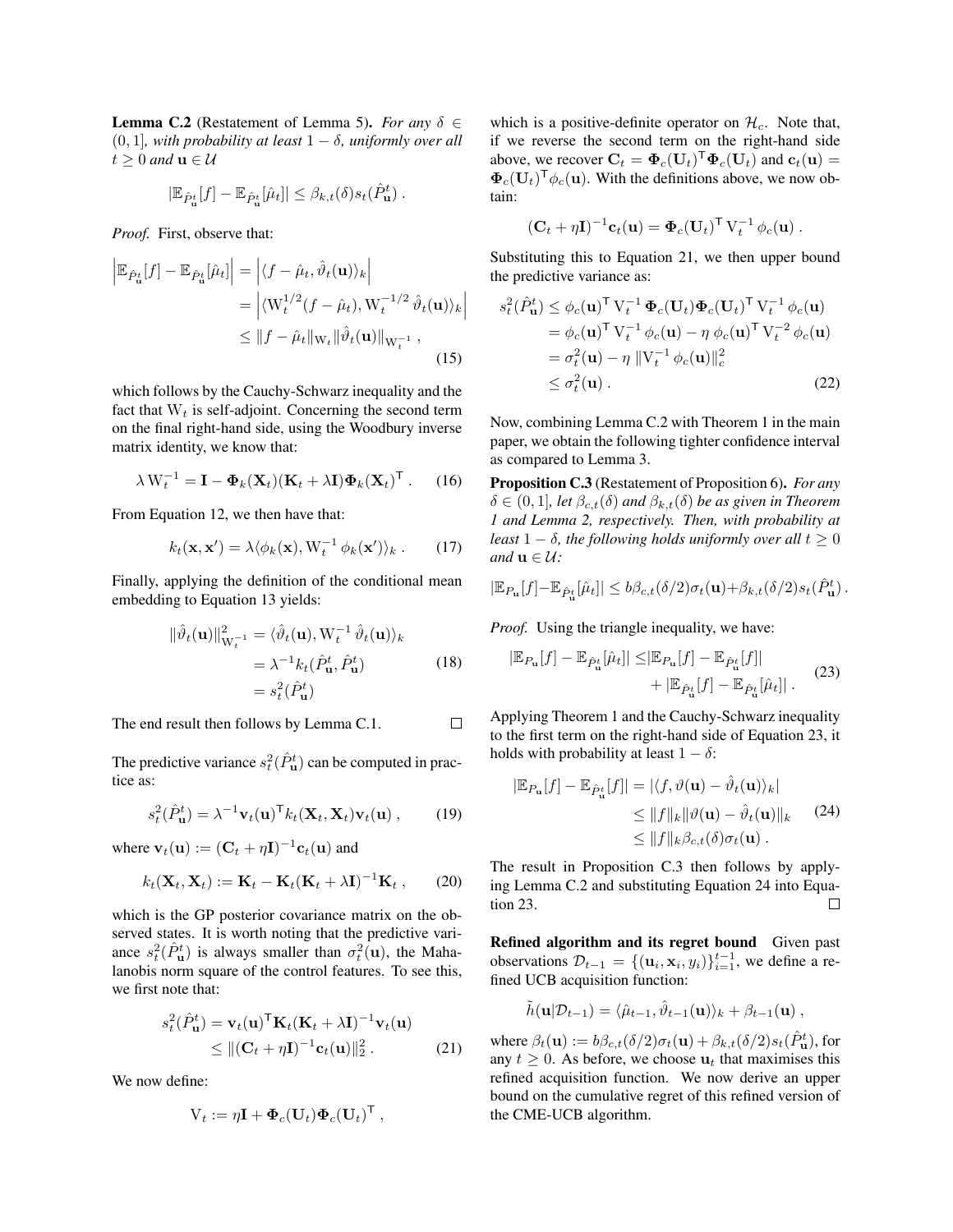<span id="page-2-1"></span>**Lemma C.2** (Restatement of Lemma 5). *For any*  $\delta \in$ (0, 1]*, with probability at least* 1 − δ*, uniformly over all*  $t > 0$  and  $\mathbf{u} \in \mathcal{U}$ 

$$
|\mathbb{E}_{\hat{P}_{\mathbf{u}}^t}[f] - \mathbb{E}_{\hat{P}_{\mathbf{u}}^t}[\hat{\mu}_t]| \leq \beta_{k,t}(\delta) s_t(\hat{P}_{\mathbf{u}}^t).
$$

*Proof.* First, observe that:

$$
\begin{aligned} \left| \mathbb{E}_{\hat{P}_{\mathbf{u}}^{t}}[f] - \mathbb{E}_{\hat{P}_{\mathbf{u}}^{t}}[\hat{\mu}_{t}] \right| &= \left| \langle f - \hat{\mu}_{t}, \hat{\vartheta}_{t}(\mathbf{u}) \rangle_{k} \right| \\ &= \left| \langle \mathbf{W}_{t}^{1/2}(f - \hat{\mu}_{t}), \mathbf{W}_{t}^{-1/2} \hat{\vartheta}_{t}(\mathbf{u}) \rangle_{k} \right| \\ &\leq \| f - \hat{\mu}_{t} \|_{\mathbf{W}_{t}} \| \hat{\vartheta}_{t}(\mathbf{u}) \|_{\mathbf{W}_{t}^{-1}} \end{aligned} \tag{15}
$$

which follows by the Cauchy-Schwarz inequality and the fact that  $W_t$  is self-adjoint. Concerning the second term on the final right-hand side, using the Woodbury inverse matrix identity, we know that:

$$
\lambda W_t^{-1} = \mathbf{I} - \mathbf{\Phi}_k(\mathbf{X}_t)(\mathbf{K}_t + \lambda \mathbf{I}) \mathbf{\Phi}_k(\mathbf{X}_t)^{\mathsf{T}}.
$$
 (16)

From [Equation 12,](#page-1-2) we then have that:

$$
k_t(\mathbf{x}, \mathbf{x}') = \lambda \langle \phi_k(\mathbf{x}), \mathbf{W}_t^{-1} \phi_k(\mathbf{x}') \rangle_k . \qquad (17)
$$

Finally, applying the definition of the conditional mean embedding to [Equation 13](#page-1-3) yields:

$$
\|\hat{\vartheta}_t(\mathbf{u})\|_{\mathbf{W}_t^{-1}}^2 = \langle \hat{\vartheta}_t(\mathbf{u}), \mathbf{W}_t^{-1} \hat{\vartheta}_t(\mathbf{u}) \rangle_k
$$
  
=  $\lambda^{-1} k_t (\hat{P}_{\mathbf{u}}^t, \hat{P}_{\mathbf{u}}^t)$  (18)  
=  $s_t^2 (\hat{P}_{\mathbf{u}}^t)$ 

The end result then follows by [Lemma C.1.](#page-1-1)  $\Box$ 

The predictive variance  $s_t^2(\hat{P}_u^t)$  can be computed in practice as:

$$
s_t^2(\hat{P}_{\mathbf{u}}^t) = \lambda^{-1} \mathbf{v}_t(\mathbf{u})^\mathsf{T} k_t(\mathbf{X}_t, \mathbf{X}_t) \mathbf{v}_t(\mathbf{u}), \qquad (19)
$$

where  $\mathbf{v}_t(\mathbf{u}) := (\mathbf{C}_t + \eta \mathbf{I})^{-1} \mathbf{c}_t(\mathbf{u})$  and

$$
k_t(\mathbf{X}_t, \mathbf{X}_t) := \mathbf{K}_t - \mathbf{K}_t(\mathbf{K}_t + \lambda \mathbf{I})^{-1} \mathbf{K}_t , \qquad (20)
$$

which is the GP posterior covariance matrix on the observed states. It is worth noting that the predictive variance  $s_t^2(\hat{P}_{\mathbf{u}}^t)$  is always smaller than  $\sigma_t^2(\mathbf{u})$ , the Mahalanobis norm square of the control features. To see this, we first note that:

$$
s_t^2(\hat{P}_{\mathbf{u}}^t) = \mathbf{v}_t(\mathbf{u})^{\mathsf{T}} \mathbf{K}_t(\mathbf{K}_t + \lambda \mathbf{I})^{-1} \mathbf{v}_t(\mathbf{u})
$$
  
 
$$
\leq ||(\mathbf{C}_t + \eta \mathbf{I})^{-1} \mathbf{c}_t(\mathbf{u})||_2^2.
$$
 (21)

We now define:

$$
V_t := \eta \mathbf{I} + \mathbf{\Phi}_c(\mathbf{U}_t) \mathbf{\Phi}_c(\mathbf{U}_t)^{\mathsf{T}} ,
$$

which is a positive-definite operator on  $\mathcal{H}_c$ . Note that, if we reverse the second term on the right-hand side above, we recover  $\mathbf{C}_t = \mathbf{\Phi}_c(\mathbf{U}_t)^T \mathbf{\Phi}_c(\mathbf{U}_t)$  and  $\mathbf{c}_t(\mathbf{u}) =$  $\Phi_c(\mathbf{U}_t)^{\mathsf{T}} \phi_c(\mathbf{u})$ . With the definitions above, we now obtain:

<span id="page-2-5"></span>
$$
(\mathbf{C}_t + \eta \mathbf{I})^{-1} \mathbf{c}_t(\mathbf{u}) = \mathbf{\Phi}_c(\mathbf{U}_t)^{\mathsf{T}} \, \mathbf{V}_t^{-1} \, \phi_c(\mathbf{u}) \ .
$$

Substituting this to [Equation 21,](#page-2-0) we then upper bound the predictive variance as:

$$
s_t^2(\hat{P}_{\mathbf{u}}^t) \leq \phi_c(\mathbf{u})^\top \mathbf{V}_t^{-1} \mathbf{\Phi}_c(\mathbf{U}_t) \mathbf{\Phi}_c(\mathbf{U}_t)^\top \mathbf{V}_t^{-1} \phi_c(\mathbf{u})
$$
  
\n
$$
= \phi_c(\mathbf{u})^\top \mathbf{V}_t^{-1} \phi_c(\mathbf{u}) - \eta \phi_c(\mathbf{u})^\top \mathbf{V}_t^{-2} \phi_c(\mathbf{u})
$$
  
\n
$$
= \sigma_t^2(\mathbf{u}) - \eta \|\mathbf{V}_t^{-1} \phi_c(\mathbf{u})\|_c^2
$$
  
\n
$$
\leq \sigma_t^2(\mathbf{u}).
$$
 (22)

Now, combining [Lemma C.2](#page-2-1) with Theorem 1 in the main paper, we obtain the following tighter confidence interval as compared to Lemma 3.

<span id="page-2-3"></span>Proposition C.3 (Restatement of Proposition 6). *For any*  $\delta \in (0,1]$ *, let*  $\beta_{c,t}(\delta)$  *and*  $\beta_{k,t}(\delta)$  *be as given in Theorem 1 and Lemma 2, respectively. Then, with probability at least*  $1 - \delta$ *, the following holds uniformly over all*  $t \geq 0$ *and*  $\mathbf{u} \in \mathcal{U}$ *:* 

$$
|\mathbb{E}_{P_{\mathbf{u}}}[f] - \mathbb{E}_{\hat{P}_{\mathbf{u}}^t}[\hat{\mu}_t]| \leq b\beta_{c,t}(\delta/2)\sigma_t(\mathbf{u}) + \beta_{k,t}(\delta/2)s_t(\hat{P}_{\mathbf{u}}^t).
$$

*Proof.* Using the triangle inequality, we have:

<span id="page-2-2"></span>
$$
|\mathbb{E}_{P_{\mathbf{u}}}[f] - \mathbb{E}_{\hat{P}_{\mathbf{u}}^t}[\hat{\mu}_t]| \leq |\mathbb{E}_{P_{\mathbf{u}}}[f] - \mathbb{E}_{\hat{P}_{\mathbf{u}}^t}[f]| + |\mathbb{E}_{\hat{P}_{\mathbf{u}}^t}[f] - \mathbb{E}_{\hat{P}_{\mathbf{u}}^t}[\hat{\mu}_t]|.
$$
 (23)

Applying Theorem 1 and the Cauchy-Schwarz inequality to the first term on the right-hand side of [Equation 23,](#page-2-2) it holds with probability at least  $1 - \delta$ :

<span id="page-2-4"></span>
$$
|\mathbb{E}_{P_{\mathbf{u}}}[f] - \mathbb{E}_{\hat{P}_{\mathbf{u}}^t}[f]| = |\langle f, \vartheta(\mathbf{u}) - \hat{\vartheta}_t(\mathbf{u}) \rangle_k|
$$
  
\n
$$
\leq ||f||_k ||\vartheta(\mathbf{u}) - \hat{\vartheta}_t(\mathbf{u})||_k \qquad (24)
$$
  
\n
$$
\leq ||f||_k \beta_{c,t}(\delta) \sigma_t(\mathbf{u}).
$$

The result in [Proposition C.3](#page-2-3) then follows by applying [Lemma C.2](#page-2-1) and substituting [Equation 24](#page-2-4) into [Equa](#page-2-2)[tion 23.](#page-2-2)  $\Box$ 

Refined algorithm and its regret bound Given past observations  $\mathcal{D}_{t-1} = \{(\mathbf{u}_i, \mathbf{x}_i, y_i)\}_{i=1}^{t-1}$ , we define a refined UCB acquisition function:

$$
\tilde{h}(\mathbf{u}|\mathcal{D}_{t-1}) = \langle \hat{\mu}_{t-1}, \hat{\vartheta}_{t-1}(\mathbf{u}) \rangle_k + \beta_{t-1}(\mathbf{u}) ,
$$

<span id="page-2-0"></span>where  $\beta_t(\mathbf{u}) := b\beta_{c,t}(\delta/2)\sigma_t(\mathbf{u}) + \beta_{k,t}(\delta/2)s_t(\hat{P}_{\mathbf{u}}^t)$ , for any  $t \geq 0$ . As before, we choose  $\mathbf{u}_t$  that maximises this refined acquisition function. We now derive an upper bound on the cumulative regret of this refined version of the CME-UCB algorithm.